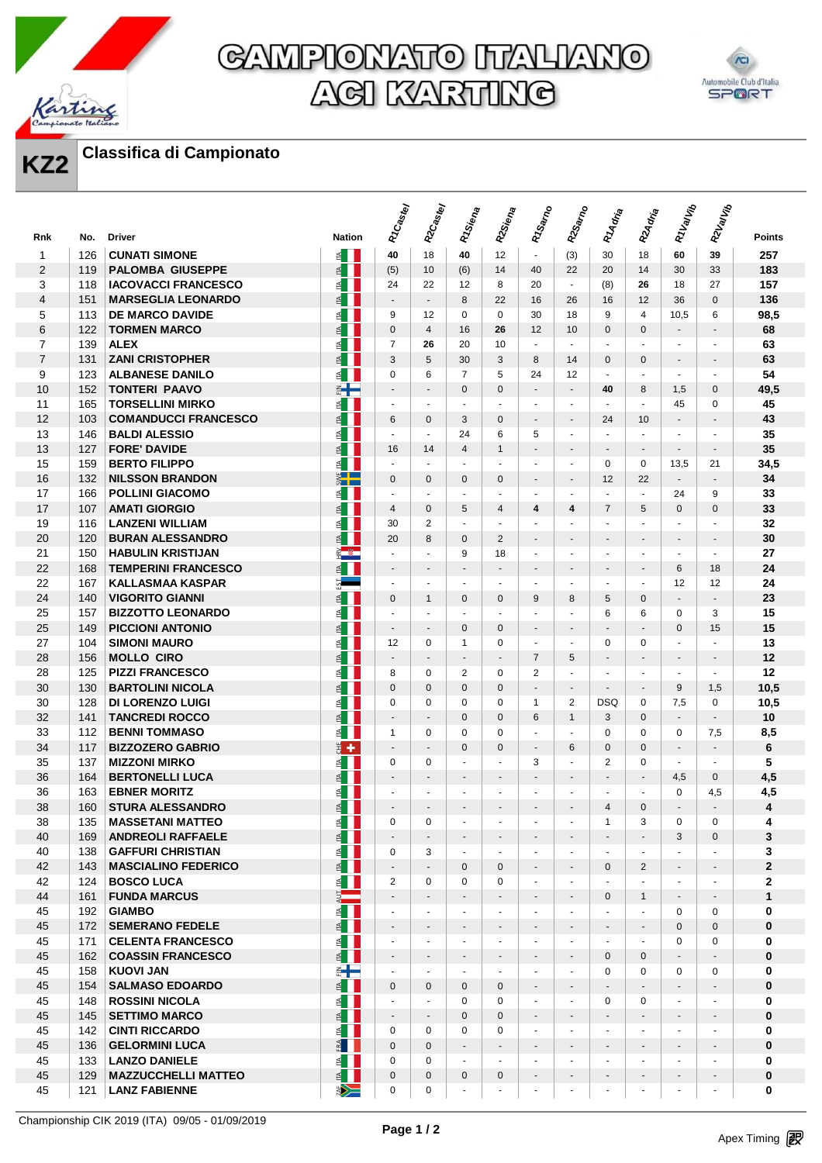

## GAMPIONATO ITALIANO **AGI KARTING**



### **KZ2 Classifica di Campionato**

|                |            |                                                 |                                                | R <sub>TCastey</sub>             | R2Castey                                | R <sub>1Siena</sub>      | R2Siena                     | R <sub>1Samo</sub>                       | R2Samo                                     | R <sub>14dria</sub>      | R2Adria                    | R1ValVib                             | R2Valvib                                   |                     |
|----------------|------------|-------------------------------------------------|------------------------------------------------|----------------------------------|-----------------------------------------|--------------------------|-----------------------------|------------------------------------------|--------------------------------------------|--------------------------|----------------------------|--------------------------------------|--------------------------------------------|---------------------|
| Rnk            | No.        | <b>Driver</b>                                   | <b>Nation</b>                                  |                                  |                                         |                          |                             |                                          |                                            |                          |                            |                                      |                                            | <b>Points</b>       |
| 1              | 126        | <b>CUNATI SIMONE</b>                            | é II                                           | 40                               | 18                                      | 40                       | 12                          | $\mathbf{r}$                             | (3)                                        | 30                       | 18                         | 60                                   | 39                                         | 257                 |
| 2              | 119        | <b>PALOMBA GIUSEPPE</b>                         | $\leq$                                         | (5)                              | 10                                      | (6)                      | 14                          | 40                                       | 22                                         | 20                       | 14                         | 30                                   | 33                                         | 183                 |
| 3              | 118        | <b>IACOVACCI FRANCESCO</b>                      | 图 ┃                                            | 24                               | 22                                      | 12                       | 8                           | 20                                       | $\omega$                                   | (8)                      | 26                         | 18                                   | 27                                         | 157                 |
| $\overline{4}$ | 151        | <b>MARSEGLIA LEONARDO</b>                       | é I                                            | $\blacksquare$                   | $\blacksquare$                          | 8                        | 22                          | 16                                       | 26                                         | 16                       | 12                         | 36                                   | 0                                          | 136                 |
| 5              | 113        | <b>DE MARCO DAVIDE</b>                          | $\leq$                                         | 9                                | 12                                      | 0                        | $\mathbf 0$                 | 30                                       | 18                                         | 9                        | 4                          | 10,5                                 | 6                                          | 98,5                |
| 6              | 122        | <b>TORMEN MARCO</b>                             | E                                              | $\mathbf{0}$                     | $\overline{4}$                          | 16                       | 26                          | 12                                       | 10                                         | $\Omega$                 | $\mathbf{0}$               | $\sim$                               | $\sim$                                     | 68                  |
| $\overline{7}$ | 139        | <b>ALEX</b>                                     | $\leq$                                         | $\overline{7}$                   | 26                                      | 20                       | 10                          | $\blacksquare$                           | $\blacksquare$                             | ÷.                       | $\mathbf{r}$               | $\blacksquare$                       | $\blacksquare$                             | 63                  |
| $\overline{7}$ | 131        | <b>ZANI CRISTOPHER</b>                          | $\leq$ $\blacksquare$                          | 3                                | 5                                       | 30                       | 3                           | 8                                        | 14                                         | $\Omega$                 | $\mathbf{0}$               | $\overline{\phantom{a}}$             | $\overline{\phantom{a}}$                   | 63                  |
| 9              | 123        | <b>ALBANESE DANILO</b>                          | $\leq$ $\blacksquare$                          | $\Omega$                         | 6                                       | $\overline{7}$           | 5                           | 24                                       | 12                                         | $\omega$                 | $\blacksquare$             | $\blacksquare$                       | $\blacksquare$                             | 54                  |
| 10<br>11       | 152<br>165 | <b>TONTERI PAAVO</b><br><b>TORSELLINI MIRKO</b> | ⋹╄═<br>≝∎                                      | $\overline{\phantom{a}}$         | $\sim$<br>$\omega$                      | $\mathbf{0}$<br>$\omega$ | $\mathbf 0$<br>$\mathbf{u}$ | $\overline{\phantom{a}}$<br>$\mathbf{u}$ | $\overline{\phantom{a}}$<br>$\blacksquare$ | 40<br>$\mathbf{r}$       | 8<br>$\omega$              | 1,5                                  | 0<br>$\mathbf 0$                           | 49,5<br>45          |
| 12             | 103        | <b>COMANDUCCI FRANCESCO</b>                     | $\leq$                                         | $\blacksquare$<br>6              | $\mathbf 0$                             | 3                        | $\mathbf 0$                 | $\overline{\phantom{a}}$                 | $\overline{\phantom{a}}$                   | 24                       | 10                         | 45<br>$\blacksquare$                 | $\overline{\phantom{a}}$                   | 43                  |
| 13             | 146        | <b>BALDI ALESSIO</b>                            | ≦ II                                           | $\omega$                         | $\omega$                                | 24                       | 6                           | 5                                        | $\overline{\phantom{a}}$                   | $\overline{a}$           | $\blacksquare$             | $\blacksquare$                       | $\sim$                                     | 35                  |
| 13             | 127        | <b>FORE' DAVIDE</b>                             | $\leq$ $\blacksquare$                          | 16                               | 14                                      | $\overline{4}$           | $\mathbf{1}$                | $\blacksquare$                           | $\overline{\phantom{a}}$                   | $\blacksquare$           | $\overline{\phantom{a}}$   | $\blacksquare$                       | $\overline{\phantom{a}}$                   | 35                  |
| 15             | 159        | <b>BERTO FILIPPO</b>                            | ≦ II                                           | $\omega$                         | $\sim$                                  | $\overline{a}$           | ÷.                          | $\blacksquare$                           | $\blacksquare$                             | $\Omega$                 | 0                          | 13,5                                 | 21                                         | 34,5                |
| 16             | 132        | <b>NILSSON BRANDON</b>                          | $\sum_{i=1}^{n}$                               | $\mathbf{0}$                     | $\mathbf{0}$                            | $\mathbf{0}$             | $\Omega$                    | $\blacksquare$                           | $\blacksquare$                             | 12                       | 22                         | $\sim$                               | $\sim$                                     | 34                  |
| 17             | 166        | <b>POLLINI GIACOMO</b>                          | $\leq$                                         | $\blacksquare$                   | $\blacksquare$                          | ÷.                       | $\blacksquare$              | $\overline{\phantom{a}}$                 | $\blacksquare$                             | ÷.                       | $\omega$                   | 24                                   | 9                                          | 33                  |
| 17             | 107        | <b>AMATI GIORGIO</b>                            | $\leq$                                         | $\overline{4}$                   | $\mathbf{0}$                            | 5                        | $\overline{4}$              | 4                                        | 4                                          | $\overline{7}$           | 5                          | $\mathbf{0}$                         | $\mathbf{0}$                               | 33                  |
| 19             | 116        | <b>LANZENI WILLIAM</b>                          | $\leq$ $\blacksquare$                          | 30                               | $\overline{2}$                          | $\blacksquare$           | ÷,                          | $\blacksquare$                           | $\blacksquare$                             | $\blacksquare$           | $\mathbf{r}$               | $\mathbf{r}$                         | $\blacksquare$                             | 32                  |
| 20             | 120        | <b>BURAN ALESSANDRO</b>                         | ≦ II                                           | 20                               | 8                                       | $\mathbf{0}$             | 2                           | $\overline{\phantom{a}}$                 | -                                          |                          | $\overline{\phantom{a}}$   | $\overline{\phantom{a}}$             | $\overline{\phantom{a}}$                   | 30                  |
| 21             | 150        | <b>HABULIN KRISTIJAN</b>                        | $\frac{2}{\pi}$ $\frac{m}{2}$                  | $\omega$                         | $\overline{a}$                          | 9                        | 18                          | $\blacksquare$                           | ä,                                         | ÷.                       | $\sim$                     | $\omega$                             | $\sim$                                     | 27                  |
| 22             | 168        | <b>TEMPERINI FRANCESCO</b>                      | $\leq$                                         | $\overline{\phantom{a}}$         | $\sim$                                  | $\overline{\phantom{a}}$ | $\blacksquare$              | $\overline{\phantom{a}}$                 | $\overline{\phantom{a}}$                   | $\overline{\phantom{a}}$ | $\overline{\phantom{a}}$   | 6                                    | 18                                         | 24                  |
| 22             | 167        | <b>KALLASMAA KASPAR</b>                         |                                                | $\omega$                         | $\omega$                                | $\blacksquare$           | $\mathbf{u}$                | ä,                                       | $\blacksquare$                             | $\sim$                   | $\blacksquare$             | 12                                   | 12                                         | 24                  |
| 24             | 140        | <b>VIGORITO GIANNI</b>                          | $\leq$ $\blacksquare$                          | $\Omega$                         | 1                                       | $\mathbf{0}$             | $\mathbf{0}$                | 9                                        | 8                                          | 5                        | $\mathbf{0}$               | $\blacksquare$                       | $\blacksquare$                             | 23                  |
| 25             | 157        | <b>BIZZOTTO LEONARDO</b>                        | $\leq$                                         | $\omega$                         | $\sim$                                  | ÷.                       | ÷.                          | $\blacksquare$                           | $\blacksquare$                             | 6                        | 6                          | 0                                    | 3                                          | 15                  |
| 25             | 149        | <b>PICCIONI ANTONIO</b>                         | $\leq$                                         | $\blacksquare$                   | $\overline{\phantom{a}}$                | $\mathbf{0}$             | $\mathbf{0}$                | $\blacksquare$                           | $\overline{\phantom{a}}$                   |                          | $\blacksquare$             | $\mathbf{0}$                         | 15                                         | 15                  |
| 27             | 104        | <b>SIMONI MAURO</b>                             | $\leq$                                         | 12                               | 0                                       | $\mathbf{1}$             | 0                           | $\blacksquare$                           | $\blacksquare$                             | 0                        | 0                          | $\blacksquare$                       | $\blacksquare$                             | 13                  |
| 28             | 156        | <b>MOLLO CIRO</b>                               | $\leq$ $\blacksquare$                          | $\blacksquare$                   |                                         | $\blacksquare$           | $\overline{\phantom{a}}$    | $\overline{7}$                           | 5                                          |                          | $\overline{\phantom{a}}$   | $\overline{\phantom{a}}$             | $\overline{\phantom{a}}$                   | 12                  |
| 28             | 125        | <b>PIZZI FRANCESCO</b>                          | $\leq$                                         | 8                                | $\mathbf 0$                             | $\overline{2}$           | $\Omega$                    | $\overline{2}$                           | $\blacksquare$                             | $\blacksquare$           | $\blacksquare$             | $\blacksquare$                       | $\blacksquare$                             | 12                  |
| 30             | 130        | <b>BARTOLINI NICOLA</b>                         | $\leq$                                         | $\mathbf{0}$                     | $\mathbf{0}$                            | $\mathbf{0}$             | $\overline{0}$              | $\overline{\phantom{a}}$                 | $\overline{\phantom{a}}$                   |                          | $\blacksquare$             | 9                                    | 1,5                                        | 10,5                |
| 30             | 128        | <b>DI LORENZO LUIGI</b>                         | $\leq$                                         | $\mathbf 0$                      | $\mathbf 0$                             | $\mathbf 0$              | $\mathbf 0$                 | $\mathbf{1}$                             | $\overline{2}$                             | <b>DSQ</b>               | 0                          | 7,5                                  | 0                                          | 10,5                |
| 32             | 141        | <b>TANCREDI ROCCO</b>                           | $\leq$                                         | $\overline{\phantom{a}}$         | $\blacksquare$                          | $\mathbf{0}$             | $\Omega$                    | 6                                        | $\mathbf{1}$                               | 3                        | $\mathbf{0}$               | $\blacksquare$                       | $\blacksquare$                             | 10                  |
| 33             | 112        | <b>BENNI TOMMASO</b>                            | $\leq$ $\blacksquare$                          | $\mathbf{1}$                     | $\mathbf 0$                             | $\mathbf 0$              | $\Omega$                    | ä,                                       | $\overline{\phantom{a}}$                   | $\Omega$                 | $\Omega$                   | $\mathbf 0$                          | 7,5                                        | 8,5                 |
| 34             | 117        | <b>BIZZOZERO GABRIO</b>                         | $\frac{1}{2}$ +                                | $\overline{\phantom{a}}$         | $\blacksquare$                          | $\Omega$                 | $\Omega$                    | $\overline{\phantom{a}}$                 | 6                                          | $\Omega$                 | $\Omega$                   | $\blacksquare$                       | $\overline{\phantom{a}}$                   | 6                   |
| 35             | 137        | <b>MIZZONI MIRKO</b>                            | ≦ II                                           | 0                                | 0                                       | $\overline{a}$           | ÷.                          | 3                                        | $\blacksquare$                             | 2                        | 0                          | $\omega$                             | ÷.                                         | 5                   |
| 36             | 164        | <b>BERTONELLI LUCA</b>                          | $\leq$                                         | $\blacksquare$                   | $\overline{\phantom{a}}$                | $\blacksquare$           | $\overline{\phantom{a}}$    | $\blacksquare$                           | $\overline{\phantom{a}}$                   | $\sim$                   | $\overline{\phantom{a}}$   | 4,5                                  | $\mathbf{0}$                               | 4,5                 |
| 36             | 163        | <b>EBNER MORITZ</b>                             | $\leq$                                         | $\blacksquare$                   | $\sim$                                  | $\sim$                   | $\sim$                      | $\blacksquare$                           | $\blacksquare$                             | $\overline{a}$           | $\mathbf{r}$               | 0                                    | 4,5                                        | 4,5                 |
| 38             | 160        | <b>STURA ALESSANDRO</b>                         | $\leq$                                         |                                  |                                         |                          |                             |                                          |                                            | 4                        | $\mathbf{0}$               |                                      |                                            | 4                   |
| 38             | 135        | <b>MASSETANI MATTEO</b>                         | $\leq$ $\blacksquare$                          | 0                                | 0                                       | $\blacksquare$           | $\blacksquare$              | $\overline{\phantom{a}}$                 | $\blacksquare$                             | 1                        | 3                          | 0                                    | 0                                          | 4                   |
| 40             | 169        | <b>ANDREOLI RAFFAELE</b>                        | $\leq$ $\blacksquare$                          | $\overline{\phantom{a}}$         | $\blacksquare$                          | $\overline{\phantom{a}}$ | $\overline{\phantom{a}}$    | $\overline{\phantom{a}}$                 | $\overline{\phantom{a}}$                   | $\overline{\phantom{a}}$ | $\blacksquare$             | 3                                    | $\mathbf 0$                                | 3                   |
| 40             | 138<br>143 | <b>GAFFURI CHRISTIAN</b>                        | $\leq$ $\blacksquare$                          | 0                                | 3                                       | $\sim$<br>$\mathbf{0}$   | $\sim$<br>$\mathbf{0}$      | $\blacksquare$                           | $\blacksquare$                             | $\sim$                   | ٠                          | $\sim$                               | ÷                                          | 3<br>$\overline{2}$ |
| 42<br>42       | 124        | <b>MASCIALINO FEDERICO</b><br><b>BOSCO LUCA</b> | $\leq$ $\blacksquare$<br>$\leq$ $\blacksquare$ | $\blacksquare$<br>$\overline{2}$ | $\overline{\phantom{a}}$<br>$\mathbf 0$ | $\mathbf 0$              | $\mathbf 0$                 | $\overline{\phantom{a}}$<br>ä,           | $\overline{\phantom{a}}$<br>$\blacksquare$ | 0<br>$\overline{a}$      | $\overline{2}$<br>$\omega$ | $\overline{\phantom{a}}$<br>$\omega$ | $\overline{\phantom{a}}$<br>$\blacksquare$ | $\overline{2}$      |
| 44             | 161        | <b>FUNDA MARCUS</b>                             | $\frac{1}{2}$                                  | $\overline{\phantom{a}}$         | $\blacksquare$                          | $\overline{\phantom{a}}$ | $\blacksquare$              | $\overline{\phantom{a}}$                 | $\overline{\phantom{a}}$                   | $\mathbf{0}$             | $\mathbf{1}$               | $\overline{\phantom{a}}$             | $\blacksquare$                             | $\mathbf{1}$        |
| 45             | 192        | <b>GIAMBO</b>                                   | é II                                           | $\omega$                         | $\omega$                                | $\omega$                 | ÷.                          | $\blacksquare$                           | $\blacksquare$                             | $\overline{a}$           | $\omega$                   | 0                                    | 0                                          | $\mathbf 0$         |
| 45             | 172        | <b>SEMERANO FEDELE</b>                          | $\leq$                                         | $\blacksquare$                   | $\sim$                                  | $\sim$                   | $\blacksquare$              | $\blacksquare$                           | $\overline{\phantom{a}}$                   | $\sim$                   | $\overline{\phantom{a}}$   | $\mathbf{0}$                         | $\mathbf 0$                                | $\mathbf{0}$        |
| 45             | 171        | <b>CELENTA FRANCESCO</b>                        | $\leq$ $\blacksquare$                          | $\blacksquare$                   | $\blacksquare$                          | $\blacksquare$           | $\blacksquare$              | $\blacksquare$                           | $\blacksquare$                             | $\blacksquare$           | $\blacksquare$             | 0                                    | $\mathbf 0$                                | $\mathbf 0$         |
| 45             | 162        | <b>COASSIN FRANCESCO</b>                        | E                                              | $\overline{\phantom{a}}$         | $\blacksquare$                          | $\overline{\phantom{a}}$ | $\overline{\phantom{a}}$    | $\overline{\phantom{a}}$                 | $\overline{\phantom{a}}$                   | $\mathbf{0}$             | $\mathbf{0}$               | $\blacksquare$                       | $\overline{\phantom{a}}$                   | $\mathbf{0}$        |
| 45             | 158        | <b>KUOVI JAN</b>                                | ⋹╊═                                            | $\blacksquare$                   | $\blacksquare$                          | $\sim$                   | $\blacksquare$              | $\blacksquare$                           | $\overline{\phantom{a}}$                   | 0                        | $\mathbf 0$                | $\mathbf 0$                          | $\mathbf 0$                                | 0                   |
| 45             | 154        | <b>SALMASO EDOARDO</b>                          | $\leq$ $\blacksquare$                          | $\mathbf 0$                      | $\mathbf 0$                             | $\mathbf 0$              | $\mathbf{0}$                | $\overline{\phantom{a}}$                 | $\overline{\phantom{a}}$                   |                          | $\blacksquare$             | $\blacksquare$                       | $\overline{\phantom{a}}$                   | $\mathbf{0}$        |
| 45             | 148        | <b>ROSSINI NICOLA</b>                           | $\leq$ $\blacksquare$                          | $\blacksquare$                   | $\sim$                                  | $\mathbf 0$              | $\mathbf 0$                 | $\blacksquare$                           | $\overline{\phantom{a}}$                   | $\mathbf 0$              | $\mathbf 0$                | $\omega$                             | $\sim$                                     | $\mathbf 0$         |
| 45             | 145        | <b>SETTIMO MARCO</b>                            | $\leq$                                         | $\overline{\phantom{a}}$         | $\overline{\phantom{a}}$                | $\mathbf{0}$             | $\mathbf{0}$                | $\overline{\phantom{a}}$                 | $\overline{\phantom{a}}$                   | $\overline{\phantom{a}}$ | $\overline{\phantom{a}}$   | $\overline{\phantom{a}}$             | $\overline{\phantom{a}}$                   | $\bf{0}$            |
| 45             | 142        | <b>CINTI RICCARDO</b>                           | ≦ II                                           | $\mathbf 0$                      | $\mathbf 0$                             | $\mathbf 0$              | $\mathbf 0$                 | $\blacksquare$                           | $\blacksquare$                             | $\mathbf{r}$             | $\blacksquare$             | $\omega$                             | $\blacksquare$                             | $\bf{0}$            |
| 45             | 136        | <b>GELORMINI LUCA</b>                           | $\frac{3}{2}$                                  | $\mathbf{0}$                     | $\mathbf{0}$                            | $\sim$                   | $\overline{\phantom{a}}$    | $\overline{\phantom{a}}$                 | $\overline{\phantom{a}}$                   | $\blacksquare$           | $\overline{\phantom{a}}$   | $\blacksquare$                       | $\overline{\phantom{a}}$                   | $\mathbf{0}$        |
| 45             | 133        | <b>LANZO DANIELE</b>                            | ≦ III                                          | 0                                | 0                                       | $\omega$                 | $\overline{a}$              | $\blacksquare$                           | $\blacksquare$                             | $\overline{a}$           | $\mathbf{r}$               | ÷.                                   | $\sim$                                     | $\mathbf 0$         |
| 45             | 129        | <b>MAZZUCCHELLI MATTEO</b>                      | $\leq$                                         | $\mathbf 0$                      | $\mathbf 0$                             | 0                        | $\mathbf{0}$                | $\blacksquare$                           | $\overline{\phantom{a}}$                   | $\overline{a}$           | $\blacksquare$             | ٠                                    | $\blacksquare$                             | $\bf{0}$            |
| 45             | 121        | <b>LANZ FABIENNE</b>                            | ▶                                              | 0                                | 0                                       | $\blacksquare$           | $\blacksquare$              |                                          | ۰                                          | $\overline{\phantom{a}}$ | $\overline{\phantom{a}}$   | $\blacksquare$                       | $\blacksquare$                             | 0                   |